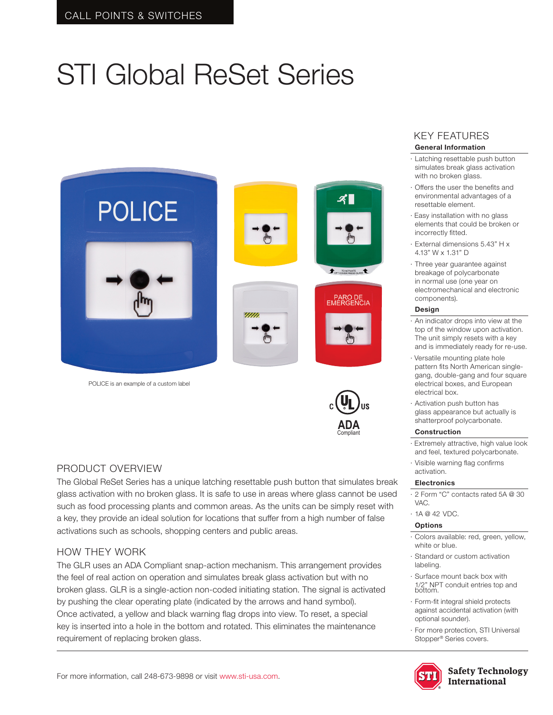# STI Global ReSet Series



POLICE is an example of a custom label



### PRODUCT OVERVIEW

The Global ReSet Series has a unique latching resettable push button that simulates break Compliantglass activation with no broken glass. It is safe to use in areas where glass cannot be used such as food processing plants and common areas. As the units can be simply reset with a key, they provide an ideal solution for locations that suffer from a high number of false activations such as schools, shopping centers and public areas.

### HOW THEY WORK

The GLR uses an ADA Compliant snap-action mechanism. This arrangement provides the feel of real action on operation and simulates break glass activation but with no broken glass. GLR is a single-action non-coded initiating station. The signal is activated by pushing the clear operating plate (indicated by the arrows and hand symbol). Once activated, a yellow and black warning flag drops into view. To reset, a special key is inserted into a hole in the bottom and rotated. This eliminates the maintenance requirement of replacing broken glass.

### KEY FEATURES **General Information**

- · Latching resettable push button simulates break glass activation with no broken glass.
- · Offers the user the benefits and environmental advantages of a resettable element.
- · Easy installation with no glass elements that could be broken or incorrectly fitted.
- · External dimensions 5.43" H x 4.13" W x 1.31" D
- · Three year guarantee against breakage of polycarbonate in normal use (one year on electromechanical and electronic components).

### **Design**

- · An indicator drops into view at the top of the window upon activation. The unit simply resets with a key and is immediately ready for re-use.
- · Versatile mounting plate hole pattern fits North American singlegang, double-gang and four square electrical boxes, and European electrical box.
- · Activation push button has glass appearance but actually is shatterproof polycarbonate.

#### **Construction**

- · Extremely attractive, high value look and feel, textured polycarbonate.
- · Visible warning flag confirms activation.

### **Electronics**

- · 2 Form "C" contacts rated 5A @ 30 VAC.
- · 1A @ 42 VDC.

### **Options**

- Colors available: red, green, yellow, white or blue.
- · Standard or custom activation labeling.
- · Surface mount back box with 1/2" NPT conduit entries top and bottom.
- · Form-fit integral shield protects against accidental activation (with optional sounder).
- For more protection, STI Universal Stopper® Series covers.